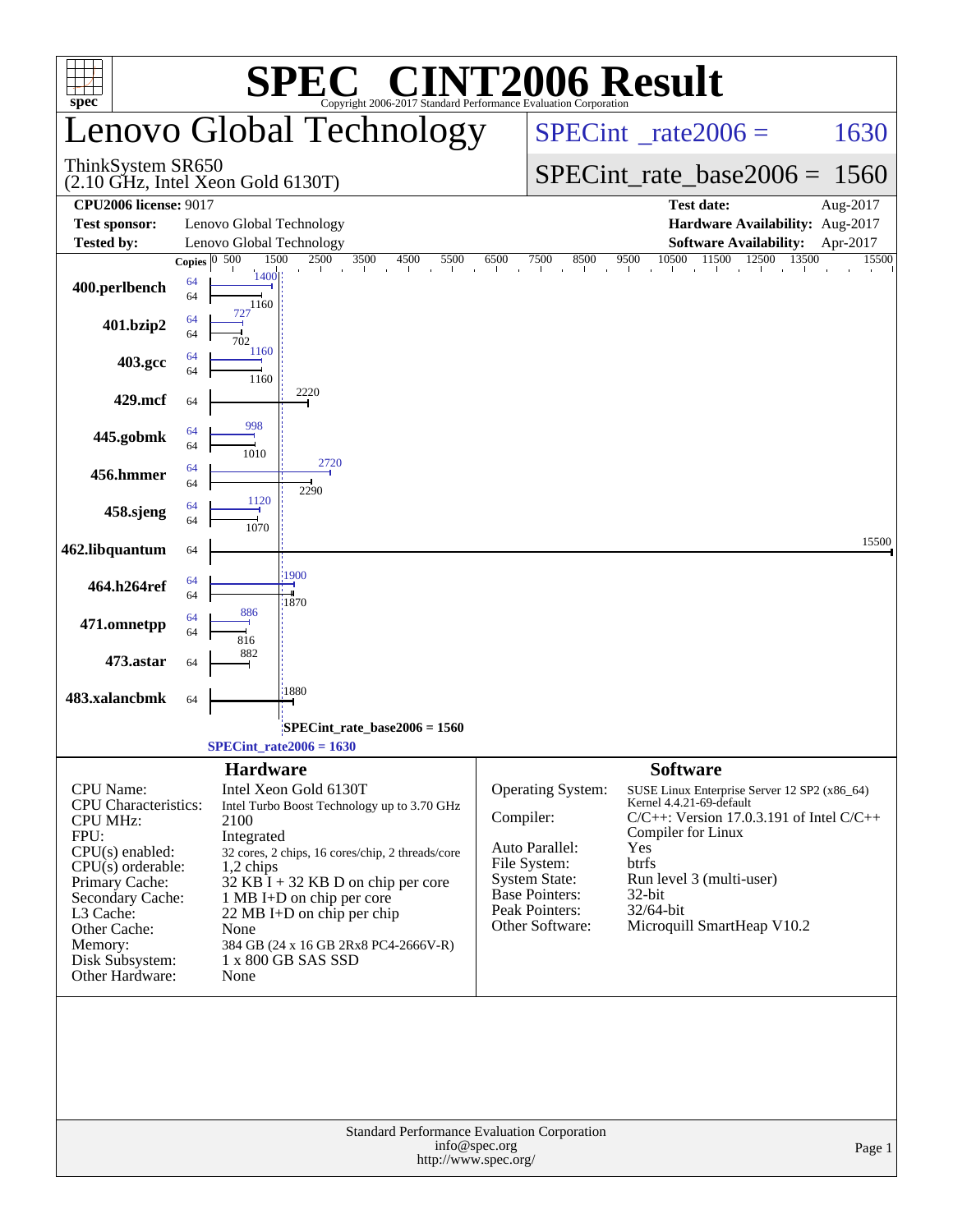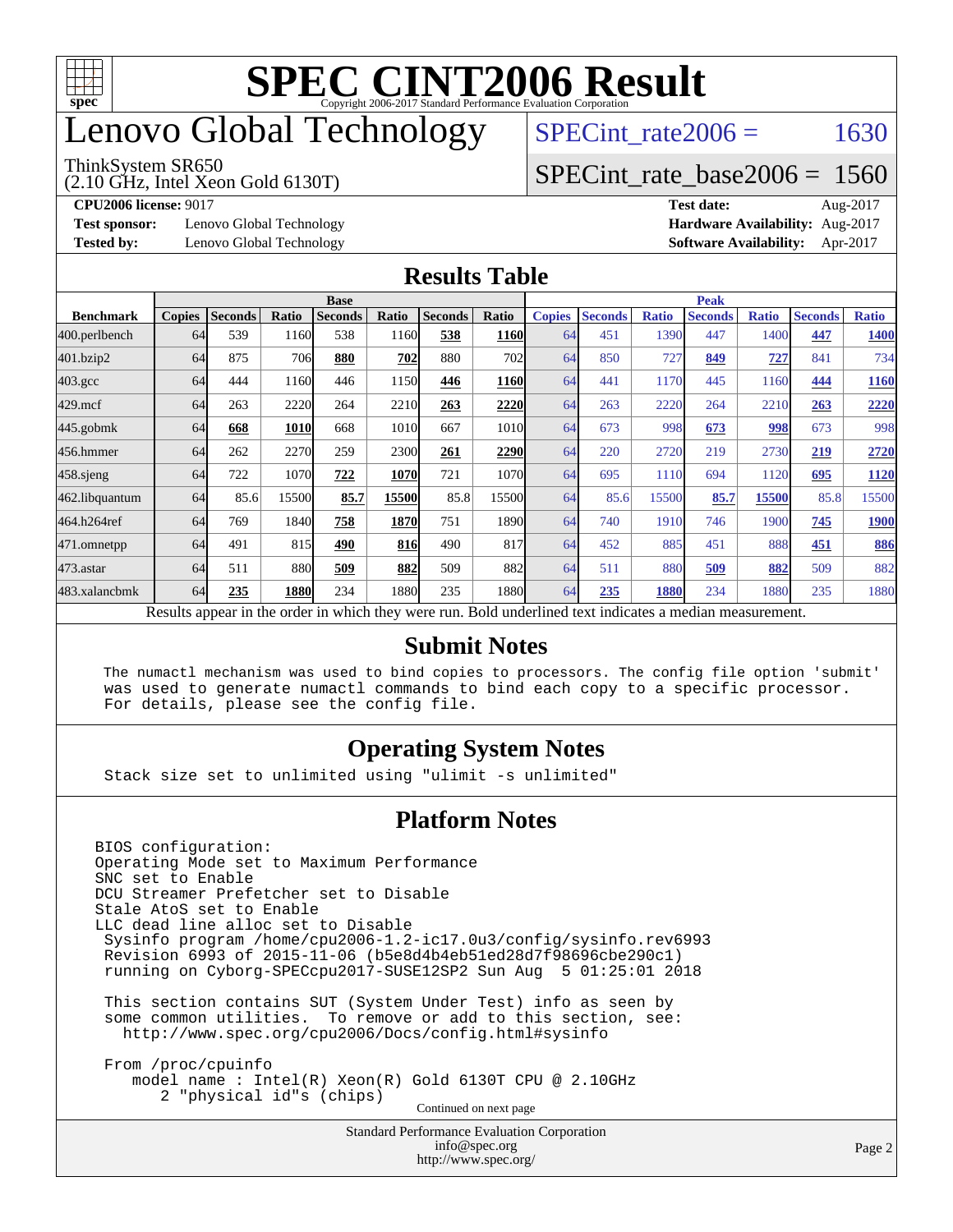

# enovo Global Technology

#### ThinkSystem SR650

(2.10 GHz, Intel Xeon Gold 6130T)

SPECint rate $2006 = 1630$ 

### [SPECint\\_rate\\_base2006 =](http://www.spec.org/auto/cpu2006/Docs/result-fields.html#SPECintratebase2006) 1560

**[Test sponsor:](http://www.spec.org/auto/cpu2006/Docs/result-fields.html#Testsponsor)** Lenovo Global Technology **[Hardware Availability:](http://www.spec.org/auto/cpu2006/Docs/result-fields.html#HardwareAvailability)** Aug-2017

**[CPU2006 license:](http://www.spec.org/auto/cpu2006/Docs/result-fields.html#CPU2006license)** 9017 **[Test date:](http://www.spec.org/auto/cpu2006/Docs/result-fields.html#Testdate)** Aug-2017 **[Tested by:](http://www.spec.org/auto/cpu2006/Docs/result-fields.html#Testedby)** Lenovo Global Technology **[Software Availability:](http://www.spec.org/auto/cpu2006/Docs/result-fields.html#SoftwareAvailability)** Apr-2017

#### **[Results Table](http://www.spec.org/auto/cpu2006/Docs/result-fields.html#ResultsTable)**

|                    | <b>Base</b>   |                |       |                |       |                |             | <b>Peak</b>   |                                                                                                          |              |                |              |                |              |
|--------------------|---------------|----------------|-------|----------------|-------|----------------|-------------|---------------|----------------------------------------------------------------------------------------------------------|--------------|----------------|--------------|----------------|--------------|
| <b>Benchmark</b>   | <b>Copies</b> | <b>Seconds</b> | Ratio | <b>Seconds</b> | Ratio | <b>Seconds</b> | Ratio       | <b>Copies</b> | <b>Seconds</b>                                                                                           | <b>Ratio</b> | <b>Seconds</b> | <b>Ratio</b> | <b>Seconds</b> | <b>Ratio</b> |
| 400.perlbench      | 64            | 539            | 1160  | 538            | 1160  | 538            | <b>1160</b> | 64            | 451                                                                                                      | 1390         | 447            | 1400         | 447            | 1400         |
| 401.bzip2          | 64            | 875            | 706   | 880            | 702   | 880            | 702         | 64            | 850                                                                                                      | 727          | 849            | 727          | 841            | 734          |
| $403.\mathrm{gcc}$ | 64            | 444            | 1160  | 446            | 1150  | 446            | 1160        | 64            | 441                                                                                                      | 1170         | 445            | 1160         | 444            | 1160         |
| $429$ .mcf         | 64            | 263            | 2220  | 264            | 2210  | 263            | 2220        | 64            | 263                                                                                                      | 2220         | 264            | 2210         | 263            | 2220         |
| $445$ .gobmk       | 64            | 668            | 1010  | 668            | 1010  | 667            | 1010        | 64            | 673                                                                                                      | 998          | 673            | 998          | 673            | 998          |
| 456.hmmer          | 64            | 262            | 2270  | 259            | 2300  | 261            | 2290        | 64            | 220                                                                                                      | 2720         | 219            | 2730         | 219            | 2720         |
| $458$ .sjeng       | 64            | 722            | 1070  | 722            | 1070  | 721            | 1070        | 64            | 695                                                                                                      | 1110         | 694            | 1120         | 695            | 1120         |
| 462.libquantum     | 64            | 85.6           | 15500 | 85.7           | 15500 | 85.8           | 15500       | 64            | 85.6                                                                                                     | 15500        | 85.7           | 15500        | 85.8           | 15500        |
| 464.h264ref        | 64            | 769            | 1840  | 758            | 1870  | 751            | 1890        | 64            | 740                                                                                                      | 1910         | 746            | 1900         | 745            | 1900         |
| 471.omnetpp        | 64            | 491            | 815   | 490            | 816   | 490            | 817         | 64            | 452                                                                                                      | 885          | 451            | 888          | 451            | 886          |
| $473$ . astar      | 64            | 511            | 880   | 509            | 882   | 509            | 882         | 64            | 511                                                                                                      | 880          | 509            | 882          | 509            | 882          |
| 483.xalancbmk      | 64            | 235            | 1880  | 234            | 1880  | 235            | 1880        | 64            | 235                                                                                                      | 1880         | 234            | 1880         | 235            | 1880         |
|                    |               |                |       |                |       |                |             |               | Results appear in the order in which they were run. Bold underlined text indicates a median measurement. |              |                |              |                |              |

#### **[Submit Notes](http://www.spec.org/auto/cpu2006/Docs/result-fields.html#SubmitNotes)**

 The numactl mechanism was used to bind copies to processors. The config file option 'submit' was used to generate numactl commands to bind each copy to a specific processor. For details, please see the config file.

#### **[Operating System Notes](http://www.spec.org/auto/cpu2006/Docs/result-fields.html#OperatingSystemNotes)**

Stack size set to unlimited using "ulimit -s unlimited"

#### **[Platform Notes](http://www.spec.org/auto/cpu2006/Docs/result-fields.html#PlatformNotes)**

<http://www.spec.org/>

Standard Performance Evaluation Corporation [info@spec.org](mailto:info@spec.org) BIOS configuration: Operating Mode set to Maximum Performance SNC set to Enable DCU Streamer Prefetcher set to Disable Stale AtoS set to Enable LLC dead line alloc set to Disable Sysinfo program /home/cpu2006-1.2-ic17.0u3/config/sysinfo.rev6993 Revision 6993 of 2015-11-06 (b5e8d4b4eb51ed28d7f98696cbe290c1) running on Cyborg-SPECcpu2017-SUSE12SP2 Sun Aug 5 01:25:01 2018 This section contains SUT (System Under Test) info as seen by some common utilities. To remove or add to this section, see: <http://www.spec.org/cpu2006/Docs/config.html#sysinfo> From /proc/cpuinfo model name : Intel(R) Xeon(R) Gold 6130T CPU @ 2.10GHz 2 "physical id"s (chips) Continued on next page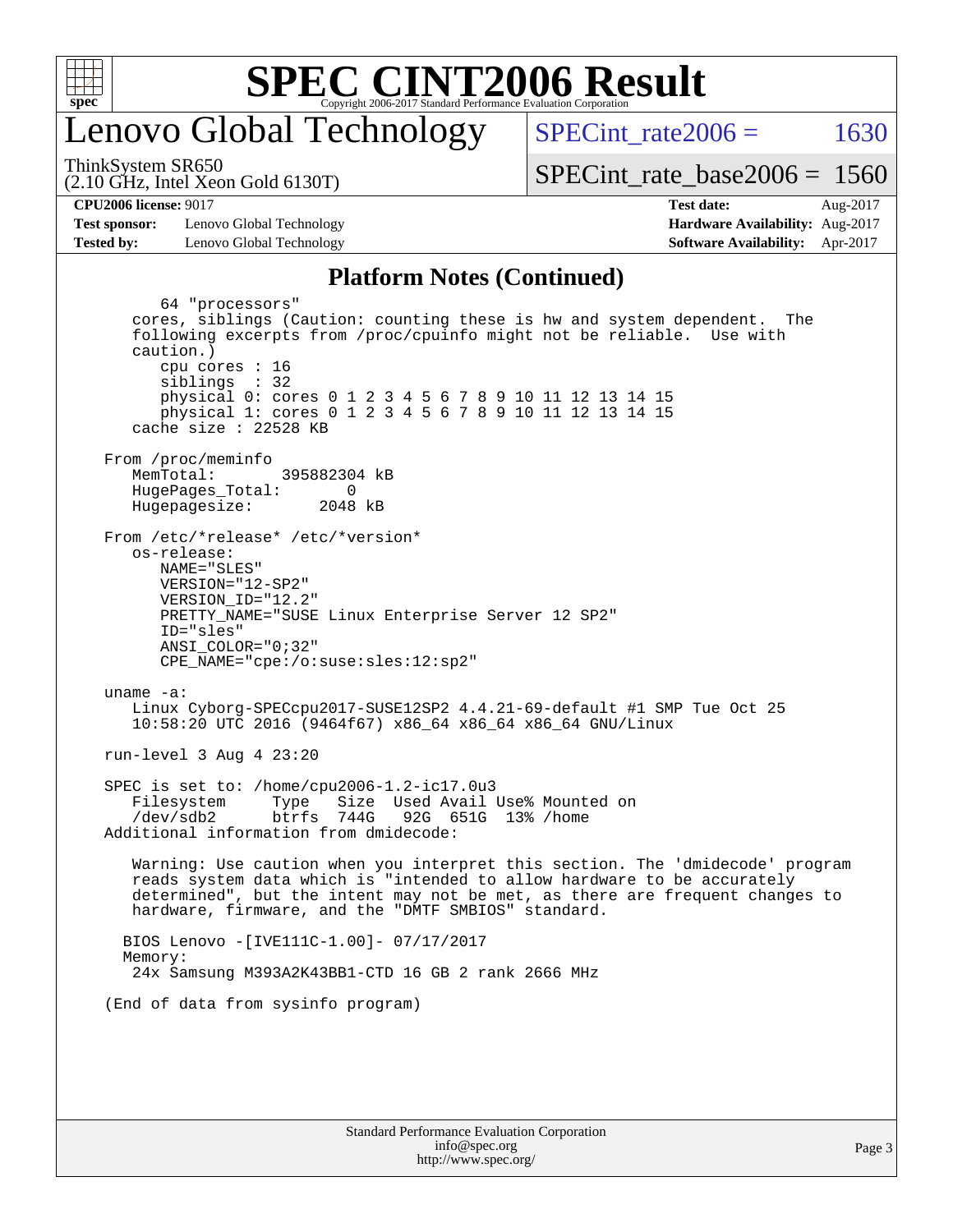

## enovo Global Technology

SPECint rate $2006 = 1630$ 

(2.10 GHz, Intel Xeon Gold 6130T) ThinkSystem SR650

[SPECint\\_rate\\_base2006 =](http://www.spec.org/auto/cpu2006/Docs/result-fields.html#SPECintratebase2006) 1560

**[CPU2006 license:](http://www.spec.org/auto/cpu2006/Docs/result-fields.html#CPU2006license)** 9017 **[Test date:](http://www.spec.org/auto/cpu2006/Docs/result-fields.html#Testdate)** Aug-2017

**[Test sponsor:](http://www.spec.org/auto/cpu2006/Docs/result-fields.html#Testsponsor)** Lenovo Global Technology **[Hardware Availability:](http://www.spec.org/auto/cpu2006/Docs/result-fields.html#HardwareAvailability)** Aug-2017 **[Tested by:](http://www.spec.org/auto/cpu2006/Docs/result-fields.html#Testedby)** Lenovo Global Technology **[Software Availability:](http://www.spec.org/auto/cpu2006/Docs/result-fields.html#SoftwareAvailability)** Apr-2017

#### **[Platform Notes \(Continued\)](http://www.spec.org/auto/cpu2006/Docs/result-fields.html#PlatformNotes)**

 64 "processors" cores, siblings (Caution: counting these is hw and system dependent. The following excerpts from /proc/cpuinfo might not be reliable. Use with caution.) cpu cores : 16 siblings : 32 physical 0: cores 0 1 2 3 4 5 6 7 8 9 10 11 12 13 14 15 physical 1: cores 0 1 2 3 4 5 6 7 8 9 10 11 12 13 14 15 cache size : 22528 KB From /proc/meminfo<br>MemTotal: 395882304 kB HugePages\_Total: 0<br>Hugepagesize: 2048 kB Hugepagesize: From /etc/\*release\* /etc/\*version\* os-release: NAME="SLES" VERSION="12-SP2" VERSION\_ID="12.2" PRETTY\_NAME="SUSE Linux Enterprise Server 12 SP2" ID="sles" ANSI\_COLOR="0;32" CPE\_NAME="cpe:/o:suse:sles:12:sp2" uname -a: Linux Cyborg-SPECcpu2017-SUSE12SP2 4.4.21-69-default #1 SMP Tue Oct 25 10:58:20 UTC 2016 (9464f67) x86\_64 x86\_64 x86\_64 GNU/Linux run-level 3 Aug 4 23:20 SPEC is set to: /home/cpu2006-1.2-ic17.0u3 Filesystem Type Size Used Avail Use% Mounted on /dev/sdb2 btrfs 744G 92G 651G 13% /home Additional information from dmidecode: Warning: Use caution when you interpret this section. The 'dmidecode' program reads system data which is "intended to allow hardware to be accurately determined", but the intent may not be met, as there are frequent changes to hardware, firmware, and the "DMTF SMBIOS" standard. BIOS Lenovo -[IVE111C-1.00]- 07/17/2017 Memory: 24x Samsung M393A2K43BB1-CTD 16 GB 2 rank 2666 MHz (End of data from sysinfo program)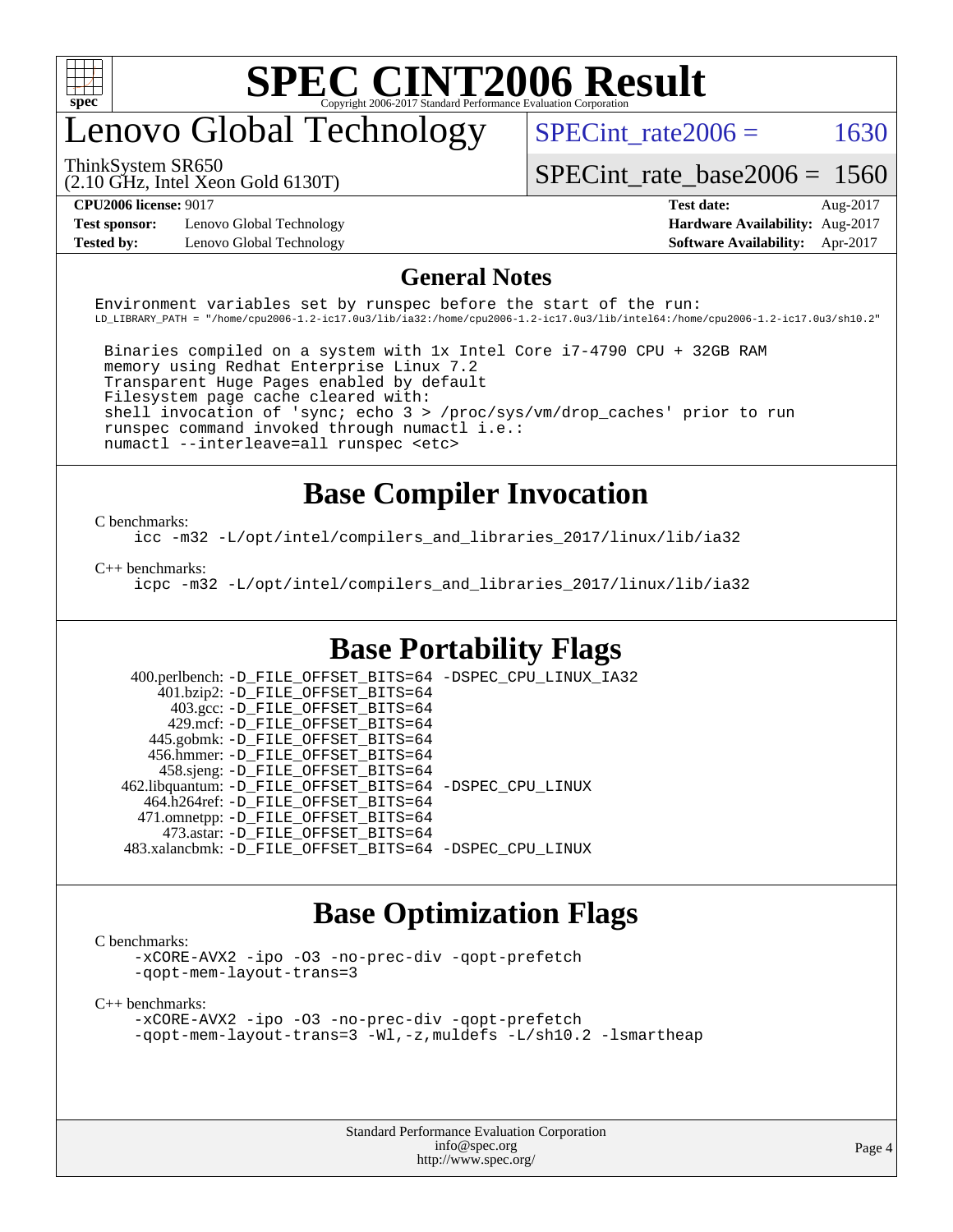

## enovo Global Technology

SPECint rate $2006 = 1630$ 

ThinkSystem SR650

[SPECint\\_rate\\_base2006 =](http://www.spec.org/auto/cpu2006/Docs/result-fields.html#SPECintratebase2006) 1560

**[Test sponsor:](http://www.spec.org/auto/cpu2006/Docs/result-fields.html#Testsponsor)** Lenovo Global Technology **[Hardware Availability:](http://www.spec.org/auto/cpu2006/Docs/result-fields.html#HardwareAvailability)** Aug-2017

(2.10 GHz, Intel Xeon Gold 6130T)

**[CPU2006 license:](http://www.spec.org/auto/cpu2006/Docs/result-fields.html#CPU2006license)** 9017 **[Test date:](http://www.spec.org/auto/cpu2006/Docs/result-fields.html#Testdate)** Aug-2017 **[Tested by:](http://www.spec.org/auto/cpu2006/Docs/result-fields.html#Testedby)** Lenovo Global Technology **[Software Availability:](http://www.spec.org/auto/cpu2006/Docs/result-fields.html#SoftwareAvailability)** Apr-2017

#### **[General Notes](http://www.spec.org/auto/cpu2006/Docs/result-fields.html#GeneralNotes)**

Environment variables set by runspec before the start of the run: LD\_LIBRARY\_PATH = "/home/cpu2006-1.2-ic17.0u3/lib/ia32:/home/cpu2006-1.2-ic17.0u3/lib/intel64:/home/cpu2006-1.2-ic17.0u3/sh10.2"

 Binaries compiled on a system with 1x Intel Core i7-4790 CPU + 32GB RAM memory using Redhat Enterprise Linux 7.2 Transparent Huge Pages enabled by default Filesystem page cache cleared with: shell invocation of 'sync; echo 3 > /proc/sys/vm/drop\_caches' prior to run runspec command invoked through numactl i.e.: numactl --interleave=all runspec <etc>

### **[Base Compiler Invocation](http://www.spec.org/auto/cpu2006/Docs/result-fields.html#BaseCompilerInvocation)**

[C benchmarks](http://www.spec.org/auto/cpu2006/Docs/result-fields.html#Cbenchmarks):

[icc -m32 -L/opt/intel/compilers\\_and\\_libraries\\_2017/linux/lib/ia32](http://www.spec.org/cpu2006/results/res2017q4/cpu2006-20170918-49724.flags.html#user_CCbase_intel_icc_c29f3ff5a7ed067b11e4ec10a03f03ae)

[C++ benchmarks:](http://www.spec.org/auto/cpu2006/Docs/result-fields.html#CXXbenchmarks)

[icpc -m32 -L/opt/intel/compilers\\_and\\_libraries\\_2017/linux/lib/ia32](http://www.spec.org/cpu2006/results/res2017q4/cpu2006-20170918-49724.flags.html#user_CXXbase_intel_icpc_8c35c7808b62dab9ae41a1aa06361b6b)

### **[Base Portability Flags](http://www.spec.org/auto/cpu2006/Docs/result-fields.html#BasePortabilityFlags)**

 400.perlbench: [-D\\_FILE\\_OFFSET\\_BITS=64](http://www.spec.org/cpu2006/results/res2017q4/cpu2006-20170918-49724.flags.html#user_basePORTABILITY400_perlbench_file_offset_bits_64_438cf9856305ebd76870a2c6dc2689ab) [-DSPEC\\_CPU\\_LINUX\\_IA32](http://www.spec.org/cpu2006/results/res2017q4/cpu2006-20170918-49724.flags.html#b400.perlbench_baseCPORTABILITY_DSPEC_CPU_LINUX_IA32) 401.bzip2: [-D\\_FILE\\_OFFSET\\_BITS=64](http://www.spec.org/cpu2006/results/res2017q4/cpu2006-20170918-49724.flags.html#user_basePORTABILITY401_bzip2_file_offset_bits_64_438cf9856305ebd76870a2c6dc2689ab) 403.gcc: [-D\\_FILE\\_OFFSET\\_BITS=64](http://www.spec.org/cpu2006/results/res2017q4/cpu2006-20170918-49724.flags.html#user_basePORTABILITY403_gcc_file_offset_bits_64_438cf9856305ebd76870a2c6dc2689ab) 429.mcf: [-D\\_FILE\\_OFFSET\\_BITS=64](http://www.spec.org/cpu2006/results/res2017q4/cpu2006-20170918-49724.flags.html#user_basePORTABILITY429_mcf_file_offset_bits_64_438cf9856305ebd76870a2c6dc2689ab) 445.gobmk: [-D\\_FILE\\_OFFSET\\_BITS=64](http://www.spec.org/cpu2006/results/res2017q4/cpu2006-20170918-49724.flags.html#user_basePORTABILITY445_gobmk_file_offset_bits_64_438cf9856305ebd76870a2c6dc2689ab) 456.hmmer: [-D\\_FILE\\_OFFSET\\_BITS=64](http://www.spec.org/cpu2006/results/res2017q4/cpu2006-20170918-49724.flags.html#user_basePORTABILITY456_hmmer_file_offset_bits_64_438cf9856305ebd76870a2c6dc2689ab) 458.sjeng: [-D\\_FILE\\_OFFSET\\_BITS=64](http://www.spec.org/cpu2006/results/res2017q4/cpu2006-20170918-49724.flags.html#user_basePORTABILITY458_sjeng_file_offset_bits_64_438cf9856305ebd76870a2c6dc2689ab) 462.libquantum: [-D\\_FILE\\_OFFSET\\_BITS=64](http://www.spec.org/cpu2006/results/res2017q4/cpu2006-20170918-49724.flags.html#user_basePORTABILITY462_libquantum_file_offset_bits_64_438cf9856305ebd76870a2c6dc2689ab) [-DSPEC\\_CPU\\_LINUX](http://www.spec.org/cpu2006/results/res2017q4/cpu2006-20170918-49724.flags.html#b462.libquantum_baseCPORTABILITY_DSPEC_CPU_LINUX) 464.h264ref: [-D\\_FILE\\_OFFSET\\_BITS=64](http://www.spec.org/cpu2006/results/res2017q4/cpu2006-20170918-49724.flags.html#user_basePORTABILITY464_h264ref_file_offset_bits_64_438cf9856305ebd76870a2c6dc2689ab) 471.omnetpp: [-D\\_FILE\\_OFFSET\\_BITS=64](http://www.spec.org/cpu2006/results/res2017q4/cpu2006-20170918-49724.flags.html#user_basePORTABILITY471_omnetpp_file_offset_bits_64_438cf9856305ebd76870a2c6dc2689ab) 473.astar: [-D\\_FILE\\_OFFSET\\_BITS=64](http://www.spec.org/cpu2006/results/res2017q4/cpu2006-20170918-49724.flags.html#user_basePORTABILITY473_astar_file_offset_bits_64_438cf9856305ebd76870a2c6dc2689ab) 483.xalancbmk: [-D\\_FILE\\_OFFSET\\_BITS=64](http://www.spec.org/cpu2006/results/res2017q4/cpu2006-20170918-49724.flags.html#user_basePORTABILITY483_xalancbmk_file_offset_bits_64_438cf9856305ebd76870a2c6dc2689ab) [-DSPEC\\_CPU\\_LINUX](http://www.spec.org/cpu2006/results/res2017q4/cpu2006-20170918-49724.flags.html#b483.xalancbmk_baseCXXPORTABILITY_DSPEC_CPU_LINUX)

### **[Base Optimization Flags](http://www.spec.org/auto/cpu2006/Docs/result-fields.html#BaseOptimizationFlags)**

[C benchmarks](http://www.spec.org/auto/cpu2006/Docs/result-fields.html#Cbenchmarks):

[-xCORE-AVX2](http://www.spec.org/cpu2006/results/res2017q4/cpu2006-20170918-49724.flags.html#user_CCbase_f-xCORE-AVX2) [-ipo](http://www.spec.org/cpu2006/results/res2017q4/cpu2006-20170918-49724.flags.html#user_CCbase_f-ipo) [-O3](http://www.spec.org/cpu2006/results/res2017q4/cpu2006-20170918-49724.flags.html#user_CCbase_f-O3) [-no-prec-div](http://www.spec.org/cpu2006/results/res2017q4/cpu2006-20170918-49724.flags.html#user_CCbase_f-no-prec-div) [-qopt-prefetch](http://www.spec.org/cpu2006/results/res2017q4/cpu2006-20170918-49724.flags.html#user_CCbase_f-qopt-prefetch) [-qopt-mem-layout-trans=3](http://www.spec.org/cpu2006/results/res2017q4/cpu2006-20170918-49724.flags.html#user_CCbase_f-qopt-mem-layout-trans_170f5be61cd2cedc9b54468c59262d5d)

[C++ benchmarks:](http://www.spec.org/auto/cpu2006/Docs/result-fields.html#CXXbenchmarks)

[-xCORE-AVX2](http://www.spec.org/cpu2006/results/res2017q4/cpu2006-20170918-49724.flags.html#user_CXXbase_f-xCORE-AVX2) [-ipo](http://www.spec.org/cpu2006/results/res2017q4/cpu2006-20170918-49724.flags.html#user_CXXbase_f-ipo) [-O3](http://www.spec.org/cpu2006/results/res2017q4/cpu2006-20170918-49724.flags.html#user_CXXbase_f-O3) [-no-prec-div](http://www.spec.org/cpu2006/results/res2017q4/cpu2006-20170918-49724.flags.html#user_CXXbase_f-no-prec-div) [-qopt-prefetch](http://www.spec.org/cpu2006/results/res2017q4/cpu2006-20170918-49724.flags.html#user_CXXbase_f-qopt-prefetch) [-qopt-mem-layout-trans=3](http://www.spec.org/cpu2006/results/res2017q4/cpu2006-20170918-49724.flags.html#user_CXXbase_f-qopt-mem-layout-trans_170f5be61cd2cedc9b54468c59262d5d) [-Wl,-z,muldefs](http://www.spec.org/cpu2006/results/res2017q4/cpu2006-20170918-49724.flags.html#user_CXXbase_link_force_multiple1_74079c344b956b9658436fd1b6dd3a8a) [-L/sh10.2 -lsmartheap](http://www.spec.org/cpu2006/results/res2017q4/cpu2006-20170918-49724.flags.html#user_CXXbase_SmartHeap_b831f2d313e2fffa6dfe3f00ffc1f1c0)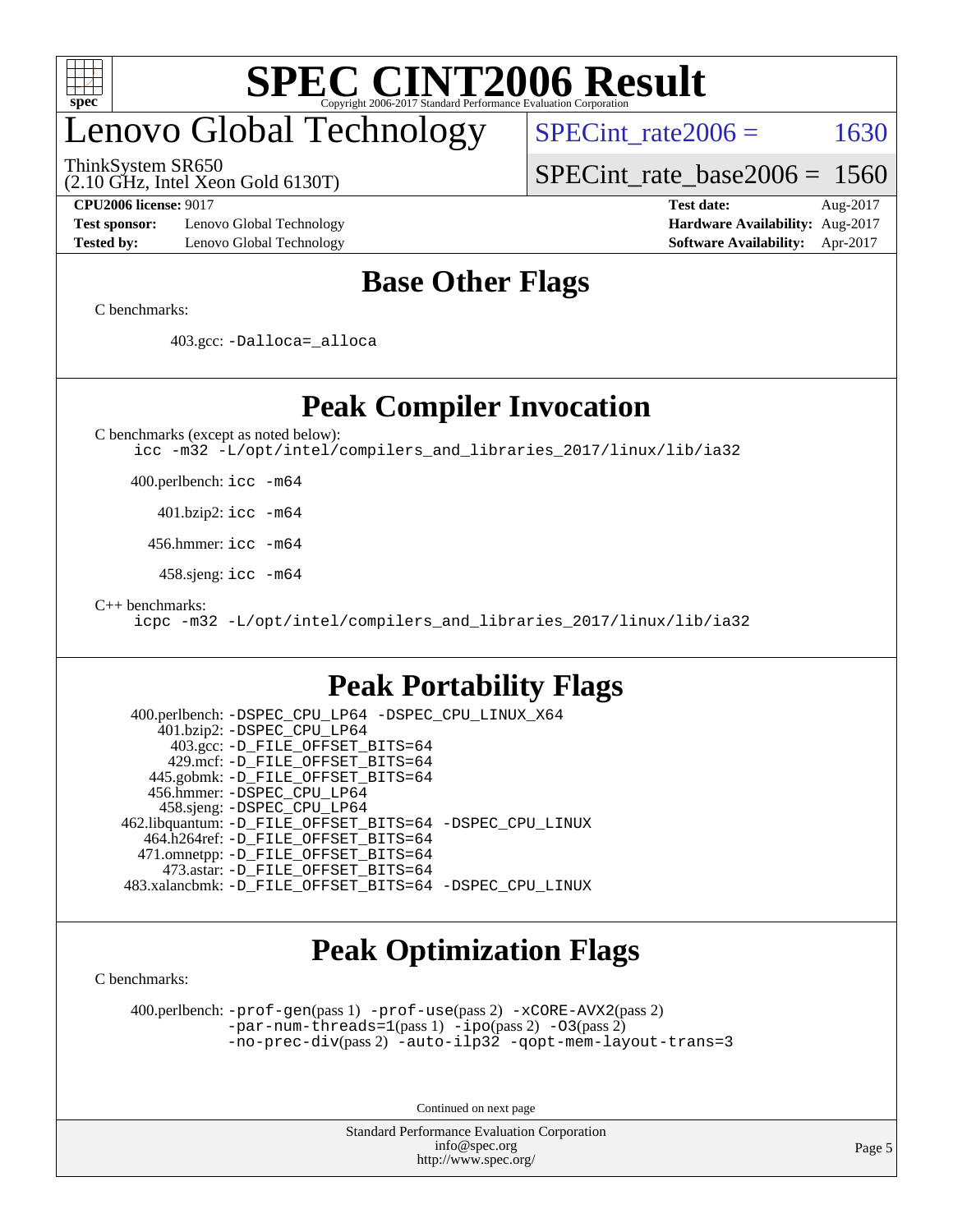

# enovo Global Technology

SPECint rate $2006 = 1630$ 

ThinkSystem SR650

(2.10 GHz, Intel Xeon Gold 6130T)

**[Test sponsor:](http://www.spec.org/auto/cpu2006/Docs/result-fields.html#Testsponsor)** Lenovo Global Technology **[Hardware Availability:](http://www.spec.org/auto/cpu2006/Docs/result-fields.html#HardwareAvailability)** Aug-2017 **[Tested by:](http://www.spec.org/auto/cpu2006/Docs/result-fields.html#Testedby)** Lenovo Global Technology **[Software Availability:](http://www.spec.org/auto/cpu2006/Docs/result-fields.html#SoftwareAvailability)** Apr-2017

**[CPU2006 license:](http://www.spec.org/auto/cpu2006/Docs/result-fields.html#CPU2006license)** 9017 **[Test date:](http://www.spec.org/auto/cpu2006/Docs/result-fields.html#Testdate)** Aug-2017

[SPECint\\_rate\\_base2006 =](http://www.spec.org/auto/cpu2006/Docs/result-fields.html#SPECintratebase2006) 1560

### **[Base Other Flags](http://www.spec.org/auto/cpu2006/Docs/result-fields.html#BaseOtherFlags)**

[C benchmarks](http://www.spec.org/auto/cpu2006/Docs/result-fields.html#Cbenchmarks):

403.gcc: [-Dalloca=\\_alloca](http://www.spec.org/cpu2006/results/res2017q4/cpu2006-20170918-49724.flags.html#b403.gcc_baseEXTRA_CFLAGS_Dalloca_be3056838c12de2578596ca5467af7f3)

**[Peak Compiler Invocation](http://www.spec.org/auto/cpu2006/Docs/result-fields.html#PeakCompilerInvocation)**

[C benchmarks \(except as noted below\)](http://www.spec.org/auto/cpu2006/Docs/result-fields.html#Cbenchmarksexceptasnotedbelow):

[icc -m32 -L/opt/intel/compilers\\_and\\_libraries\\_2017/linux/lib/ia32](http://www.spec.org/cpu2006/results/res2017q4/cpu2006-20170918-49724.flags.html#user_CCpeak_intel_icc_c29f3ff5a7ed067b11e4ec10a03f03ae)

400.perlbench: [icc -m64](http://www.spec.org/cpu2006/results/res2017q4/cpu2006-20170918-49724.flags.html#user_peakCCLD400_perlbench_intel_icc_64bit_bda6cc9af1fdbb0edc3795bac97ada53)

401.bzip2: [icc -m64](http://www.spec.org/cpu2006/results/res2017q4/cpu2006-20170918-49724.flags.html#user_peakCCLD401_bzip2_intel_icc_64bit_bda6cc9af1fdbb0edc3795bac97ada53)

456.hmmer: [icc -m64](http://www.spec.org/cpu2006/results/res2017q4/cpu2006-20170918-49724.flags.html#user_peakCCLD456_hmmer_intel_icc_64bit_bda6cc9af1fdbb0edc3795bac97ada53)

458.sjeng: [icc -m64](http://www.spec.org/cpu2006/results/res2017q4/cpu2006-20170918-49724.flags.html#user_peakCCLD458_sjeng_intel_icc_64bit_bda6cc9af1fdbb0edc3795bac97ada53)

[C++ benchmarks:](http://www.spec.org/auto/cpu2006/Docs/result-fields.html#CXXbenchmarks)

[icpc -m32 -L/opt/intel/compilers\\_and\\_libraries\\_2017/linux/lib/ia32](http://www.spec.org/cpu2006/results/res2017q4/cpu2006-20170918-49724.flags.html#user_CXXpeak_intel_icpc_8c35c7808b62dab9ae41a1aa06361b6b)

## **[Peak Portability Flags](http://www.spec.org/auto/cpu2006/Docs/result-fields.html#PeakPortabilityFlags)**

```
 400.perlbench: -DSPEC_CPU_LP64 -DSPEC_CPU_LINUX_X64
    401.bzip2: -DSPEC_CPU_LP64
      403.gcc: -D_FILE_OFFSET_BITS=64
     429.mcf: -D_FILE_OFFSET_BITS=64
   445.gobmk: -D_FILE_OFFSET_BITS=64
   456.hmmer: -DSPEC_CPU_LP64
    458.sjeng: -DSPEC_CPU_LP64
462.libquantum: -D_FILE_OFFSET_BITS=64 -DSPEC_CPU_LINUX
  464.h264ref: -D_FILE_OFFSET_BITS=64
  471.omnetpp: -D_FILE_OFFSET_BITS=64
     473.astar: -D_FILE_OFFSET_BITS=64
483.xalancbmk: -D_FILE_OFFSET_BITS=64 -DSPEC_CPU_LINUX
```
## **[Peak Optimization Flags](http://www.spec.org/auto/cpu2006/Docs/result-fields.html#PeakOptimizationFlags)**

[C benchmarks](http://www.spec.org/auto/cpu2006/Docs/result-fields.html#Cbenchmarks):

 400.perlbench: [-prof-gen](http://www.spec.org/cpu2006/results/res2017q4/cpu2006-20170918-49724.flags.html#user_peakPASS1_CFLAGSPASS1_LDCFLAGS400_perlbench_prof_gen_e43856698f6ca7b7e442dfd80e94a8fc)(pass 1) [-prof-use](http://www.spec.org/cpu2006/results/res2017q4/cpu2006-20170918-49724.flags.html#user_peakPASS2_CFLAGSPASS2_LDCFLAGS400_perlbench_prof_use_bccf7792157ff70d64e32fe3e1250b55)(pass 2) [-xCORE-AVX2](http://www.spec.org/cpu2006/results/res2017q4/cpu2006-20170918-49724.flags.html#user_peakPASS2_CFLAGSPASS2_LDCFLAGS400_perlbench_f-xCORE-AVX2)(pass 2)  $-par-num-threads=1(pass 1) -ipo(pass 2) -O3(pass 2)$  $-par-num-threads=1(pass 1) -ipo(pass 2) -O3(pass 2)$  $-par-num-threads=1(pass 1) -ipo(pass 2) -O3(pass 2)$  $-par-num-threads=1(pass 1) -ipo(pass 2) -O3(pass 2)$  $-par-num-threads=1(pass 1) -ipo(pass 2) -O3(pass 2)$  $-par-num-threads=1(pass 1) -ipo(pass 2) -O3(pass 2)$ [-no-prec-div](http://www.spec.org/cpu2006/results/res2017q4/cpu2006-20170918-49724.flags.html#user_peakPASS2_CFLAGSPASS2_LDCFLAGS400_perlbench_f-no-prec-div)(pass 2) [-auto-ilp32](http://www.spec.org/cpu2006/results/res2017q4/cpu2006-20170918-49724.flags.html#user_peakCOPTIMIZE400_perlbench_f-auto-ilp32) [-qopt-mem-layout-trans=3](http://www.spec.org/cpu2006/results/res2017q4/cpu2006-20170918-49724.flags.html#user_peakCOPTIMIZE400_perlbench_f-qopt-mem-layout-trans_170f5be61cd2cedc9b54468c59262d5d)

Continued on next page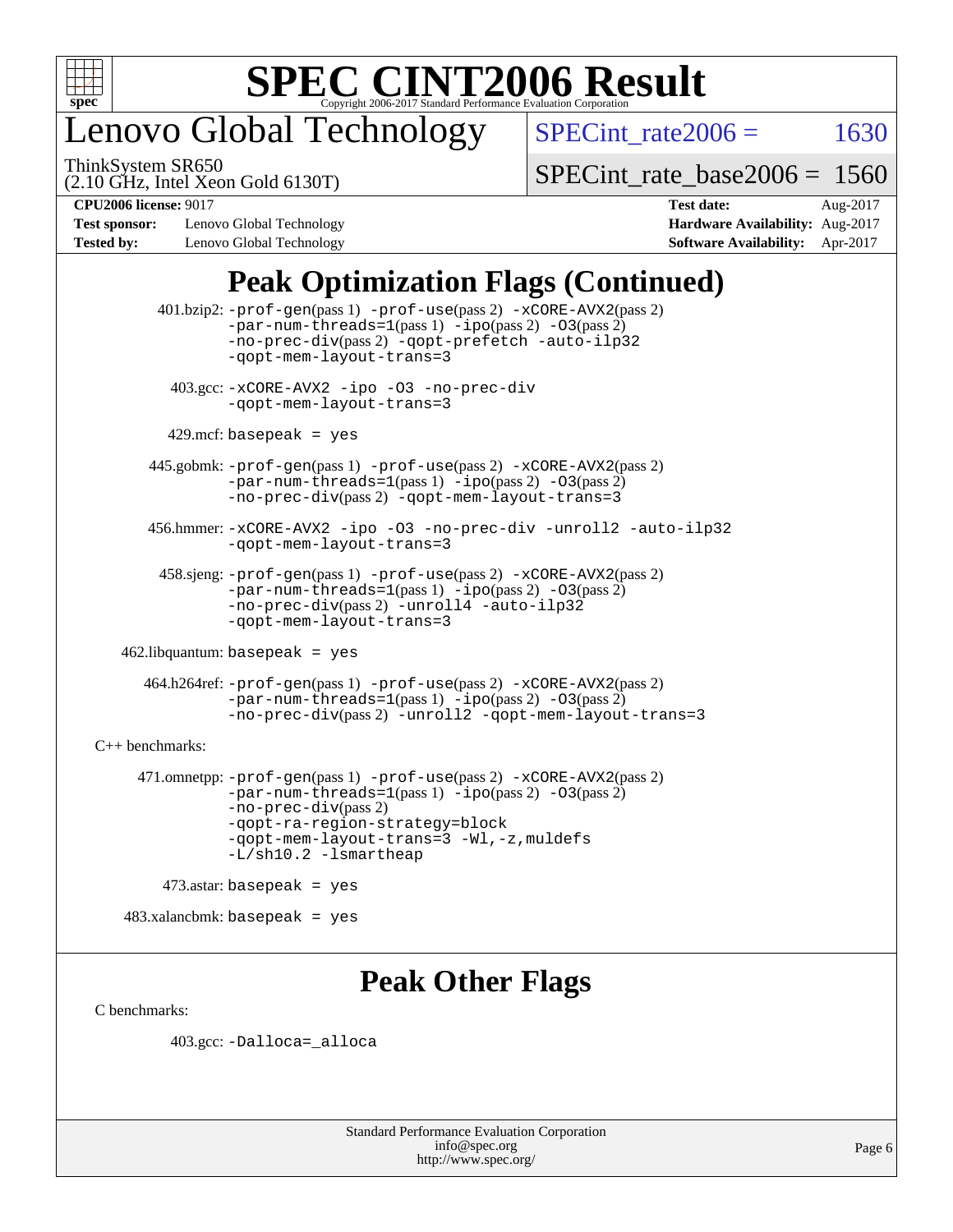

## enovo Global Technology

ThinkSystem SR650

SPECint rate $2006 = 1630$ 

(2.10 GHz, Intel Xeon Gold 6130T)

[SPECint\\_rate\\_base2006 =](http://www.spec.org/auto/cpu2006/Docs/result-fields.html#SPECintratebase2006) 1560

**[Test sponsor:](http://www.spec.org/auto/cpu2006/Docs/result-fields.html#Testsponsor)** Lenovo Global Technology **[Hardware Availability:](http://www.spec.org/auto/cpu2006/Docs/result-fields.html#HardwareAvailability)** Aug-2017 **[Tested by:](http://www.spec.org/auto/cpu2006/Docs/result-fields.html#Testedby)** Lenovo Global Technology **[Software Availability:](http://www.spec.org/auto/cpu2006/Docs/result-fields.html#SoftwareAvailability)** Apr-2017

**[CPU2006 license:](http://www.spec.org/auto/cpu2006/Docs/result-fields.html#CPU2006license)** 9017 **[Test date:](http://www.spec.org/auto/cpu2006/Docs/result-fields.html#Testdate)** Aug-2017

## **[Peak Optimization Flags \(Continued\)](http://www.spec.org/auto/cpu2006/Docs/result-fields.html#PeakOptimizationFlags)**

 401.bzip2: [-prof-gen](http://www.spec.org/cpu2006/results/res2017q4/cpu2006-20170918-49724.flags.html#user_peakPASS1_CFLAGSPASS1_LDCFLAGS401_bzip2_prof_gen_e43856698f6ca7b7e442dfd80e94a8fc)(pass 1) [-prof-use](http://www.spec.org/cpu2006/results/res2017q4/cpu2006-20170918-49724.flags.html#user_peakPASS2_CFLAGSPASS2_LDCFLAGS401_bzip2_prof_use_bccf7792157ff70d64e32fe3e1250b55)(pass 2) [-xCORE-AVX2](http://www.spec.org/cpu2006/results/res2017q4/cpu2006-20170918-49724.flags.html#user_peakPASS2_CFLAGSPASS2_LDCFLAGS401_bzip2_f-xCORE-AVX2)(pass 2)  $-par-num-threads=1(pass 1) -ipo(pass 2) -O3(pass 2)$  $-par-num-threads=1(pass 1) -ipo(pass 2) -O3(pass 2)$  $-par-num-threads=1(pass 1) -ipo(pass 2) -O3(pass 2)$  $-par-num-threads=1(pass 1) -ipo(pass 2) -O3(pass 2)$  $-par-num-threads=1(pass 1) -ipo(pass 2) -O3(pass 2)$  $-par-num-threads=1(pass 1) -ipo(pass 2) -O3(pass 2)$ [-no-prec-div](http://www.spec.org/cpu2006/results/res2017q4/cpu2006-20170918-49724.flags.html#user_peakPASS2_CFLAGSPASS2_LDCFLAGS401_bzip2_f-no-prec-div)(pass 2) [-qopt-prefetch](http://www.spec.org/cpu2006/results/res2017q4/cpu2006-20170918-49724.flags.html#user_peakCOPTIMIZE401_bzip2_f-qopt-prefetch) [-auto-ilp32](http://www.spec.org/cpu2006/results/res2017q4/cpu2006-20170918-49724.flags.html#user_peakCOPTIMIZE401_bzip2_f-auto-ilp32) [-qopt-mem-layout-trans=3](http://www.spec.org/cpu2006/results/res2017q4/cpu2006-20170918-49724.flags.html#user_peakCOPTIMIZE401_bzip2_f-qopt-mem-layout-trans_170f5be61cd2cedc9b54468c59262d5d) 403.gcc: [-xCORE-AVX2](http://www.spec.org/cpu2006/results/res2017q4/cpu2006-20170918-49724.flags.html#user_peakOPTIMIZE403_gcc_f-xCORE-AVX2) [-ipo](http://www.spec.org/cpu2006/results/res2017q4/cpu2006-20170918-49724.flags.html#user_peakOPTIMIZE403_gcc_f-ipo) [-O3](http://www.spec.org/cpu2006/results/res2017q4/cpu2006-20170918-49724.flags.html#user_peakOPTIMIZE403_gcc_f-O3) [-no-prec-div](http://www.spec.org/cpu2006/results/res2017q4/cpu2006-20170918-49724.flags.html#user_peakOPTIMIZE403_gcc_f-no-prec-div) [-qopt-mem-layout-trans=3](http://www.spec.org/cpu2006/results/res2017q4/cpu2006-20170918-49724.flags.html#user_peakCOPTIMIZE403_gcc_f-qopt-mem-layout-trans_170f5be61cd2cedc9b54468c59262d5d)  $429$ .mcf: basepeak = yes 445.gobmk: [-prof-gen](http://www.spec.org/cpu2006/results/res2017q4/cpu2006-20170918-49724.flags.html#user_peakPASS1_CFLAGSPASS1_LDCFLAGS445_gobmk_prof_gen_e43856698f6ca7b7e442dfd80e94a8fc)(pass 1) [-prof-use](http://www.spec.org/cpu2006/results/res2017q4/cpu2006-20170918-49724.flags.html#user_peakPASS2_CFLAGSPASS2_LDCFLAGSPASS2_LDFLAGS445_gobmk_prof_use_bccf7792157ff70d64e32fe3e1250b55)(pass 2) [-xCORE-AVX2](http://www.spec.org/cpu2006/results/res2017q4/cpu2006-20170918-49724.flags.html#user_peakPASS2_CFLAGSPASS2_LDCFLAGSPASS2_LDFLAGS445_gobmk_f-xCORE-AVX2)(pass 2) [-par-num-threads=1](http://www.spec.org/cpu2006/results/res2017q4/cpu2006-20170918-49724.flags.html#user_peakPASS1_CFLAGSPASS1_LDCFLAGS445_gobmk_par_num_threads_786a6ff141b4e9e90432e998842df6c2)(pass 1) [-ipo](http://www.spec.org/cpu2006/results/res2017q4/cpu2006-20170918-49724.flags.html#user_peakPASS2_LDCFLAGS445_gobmk_f-ipo)(pass 2) [-O3](http://www.spec.org/cpu2006/results/res2017q4/cpu2006-20170918-49724.flags.html#user_peakPASS2_LDCFLAGS445_gobmk_f-O3)(pass 2) [-no-prec-div](http://www.spec.org/cpu2006/results/res2017q4/cpu2006-20170918-49724.flags.html#user_peakPASS2_LDCFLAGS445_gobmk_f-no-prec-div)(pass 2) [-qopt-mem-layout-trans=3](http://www.spec.org/cpu2006/results/res2017q4/cpu2006-20170918-49724.flags.html#user_peakCOPTIMIZE445_gobmk_f-qopt-mem-layout-trans_170f5be61cd2cedc9b54468c59262d5d) 456.hmmer: [-xCORE-AVX2](http://www.spec.org/cpu2006/results/res2017q4/cpu2006-20170918-49724.flags.html#user_peakOPTIMIZE456_hmmer_f-xCORE-AVX2) [-ipo](http://www.spec.org/cpu2006/results/res2017q4/cpu2006-20170918-49724.flags.html#user_peakOPTIMIZE456_hmmer_f-ipo) [-O3](http://www.spec.org/cpu2006/results/res2017q4/cpu2006-20170918-49724.flags.html#user_peakOPTIMIZE456_hmmer_f-O3) [-no-prec-div](http://www.spec.org/cpu2006/results/res2017q4/cpu2006-20170918-49724.flags.html#user_peakOPTIMIZE456_hmmer_f-no-prec-div) [-unroll2](http://www.spec.org/cpu2006/results/res2017q4/cpu2006-20170918-49724.flags.html#user_peakCOPTIMIZE456_hmmer_f-unroll_784dae83bebfb236979b41d2422d7ec2) [-auto-ilp32](http://www.spec.org/cpu2006/results/res2017q4/cpu2006-20170918-49724.flags.html#user_peakCOPTIMIZE456_hmmer_f-auto-ilp32) [-qopt-mem-layout-trans=3](http://www.spec.org/cpu2006/results/res2017q4/cpu2006-20170918-49724.flags.html#user_peakCOPTIMIZE456_hmmer_f-qopt-mem-layout-trans_170f5be61cd2cedc9b54468c59262d5d) 458.sjeng: [-prof-gen](http://www.spec.org/cpu2006/results/res2017q4/cpu2006-20170918-49724.flags.html#user_peakPASS1_CFLAGSPASS1_LDCFLAGS458_sjeng_prof_gen_e43856698f6ca7b7e442dfd80e94a8fc)(pass 1) [-prof-use](http://www.spec.org/cpu2006/results/res2017q4/cpu2006-20170918-49724.flags.html#user_peakPASS2_CFLAGSPASS2_LDCFLAGS458_sjeng_prof_use_bccf7792157ff70d64e32fe3e1250b55)(pass 2) [-xCORE-AVX2](http://www.spec.org/cpu2006/results/res2017q4/cpu2006-20170918-49724.flags.html#user_peakPASS2_CFLAGSPASS2_LDCFLAGS458_sjeng_f-xCORE-AVX2)(pass 2)  $-par-num-threads=1(pass 1) -ipo(pass 2) -O3(pass 2)$  $-par-num-threads=1(pass 1) -ipo(pass 2) -O3(pass 2)$  $-par-num-threads=1(pass 1) -ipo(pass 2) -O3(pass 2)$  $-par-num-threads=1(pass 1) -ipo(pass 2) -O3(pass 2)$  $-par-num-threads=1(pass 1) -ipo(pass 2) -O3(pass 2)$  $-par-num-threads=1(pass 1) -ipo(pass 2) -O3(pass 2)$ [-no-prec-div](http://www.spec.org/cpu2006/results/res2017q4/cpu2006-20170918-49724.flags.html#user_peakPASS2_CFLAGSPASS2_LDCFLAGS458_sjeng_f-no-prec-div)(pass 2) [-unroll4](http://www.spec.org/cpu2006/results/res2017q4/cpu2006-20170918-49724.flags.html#user_peakCOPTIMIZE458_sjeng_f-unroll_4e5e4ed65b7fd20bdcd365bec371b81f) [-auto-ilp32](http://www.spec.org/cpu2006/results/res2017q4/cpu2006-20170918-49724.flags.html#user_peakCOPTIMIZE458_sjeng_f-auto-ilp32) [-qopt-mem-layout-trans=3](http://www.spec.org/cpu2006/results/res2017q4/cpu2006-20170918-49724.flags.html#user_peakCOPTIMIZE458_sjeng_f-qopt-mem-layout-trans_170f5be61cd2cedc9b54468c59262d5d)  $462$ .libquantum: basepeak = yes 464.h264ref: [-prof-gen](http://www.spec.org/cpu2006/results/res2017q4/cpu2006-20170918-49724.flags.html#user_peakPASS1_CFLAGSPASS1_LDCFLAGS464_h264ref_prof_gen_e43856698f6ca7b7e442dfd80e94a8fc)(pass 1) [-prof-use](http://www.spec.org/cpu2006/results/res2017q4/cpu2006-20170918-49724.flags.html#user_peakPASS2_CFLAGSPASS2_LDCFLAGS464_h264ref_prof_use_bccf7792157ff70d64e32fe3e1250b55)(pass 2) [-xCORE-AVX2](http://www.spec.org/cpu2006/results/res2017q4/cpu2006-20170918-49724.flags.html#user_peakPASS2_CFLAGSPASS2_LDCFLAGS464_h264ref_f-xCORE-AVX2)(pass 2)  $-par-num-threads=1(pass 1) -ipo(pass 2) -O3(pass 2)$  $-par-num-threads=1(pass 1) -ipo(pass 2) -O3(pass 2)$  $-par-num-threads=1(pass 1) -ipo(pass 2) -O3(pass 2)$  $-par-num-threads=1(pass 1) -ipo(pass 2) -O3(pass 2)$  $-par-num-threads=1(pass 1) -ipo(pass 2) -O3(pass 2)$  $-par-num-threads=1(pass 1) -ipo(pass 2) -O3(pass 2)$ [-no-prec-div](http://www.spec.org/cpu2006/results/res2017q4/cpu2006-20170918-49724.flags.html#user_peakPASS2_CFLAGSPASS2_LDCFLAGS464_h264ref_f-no-prec-div)(pass 2) [-unroll2](http://www.spec.org/cpu2006/results/res2017q4/cpu2006-20170918-49724.flags.html#user_peakCOPTIMIZE464_h264ref_f-unroll_784dae83bebfb236979b41d2422d7ec2) [-qopt-mem-layout-trans=3](http://www.spec.org/cpu2006/results/res2017q4/cpu2006-20170918-49724.flags.html#user_peakCOPTIMIZE464_h264ref_f-qopt-mem-layout-trans_170f5be61cd2cedc9b54468c59262d5d) [C++ benchmarks:](http://www.spec.org/auto/cpu2006/Docs/result-fields.html#CXXbenchmarks) 471.omnetpp: [-prof-gen](http://www.spec.org/cpu2006/results/res2017q4/cpu2006-20170918-49724.flags.html#user_peakPASS1_CXXFLAGSPASS1_LDCXXFLAGS471_omnetpp_prof_gen_e43856698f6ca7b7e442dfd80e94a8fc)(pass 1) [-prof-use](http://www.spec.org/cpu2006/results/res2017q4/cpu2006-20170918-49724.flags.html#user_peakPASS2_CXXFLAGSPASS2_LDCXXFLAGS471_omnetpp_prof_use_bccf7792157ff70d64e32fe3e1250b55)(pass 2) [-xCORE-AVX2](http://www.spec.org/cpu2006/results/res2017q4/cpu2006-20170918-49724.flags.html#user_peakPASS2_CXXFLAGSPASS2_LDCXXFLAGS471_omnetpp_f-xCORE-AVX2)(pass 2) [-par-num-threads=1](http://www.spec.org/cpu2006/results/res2017q4/cpu2006-20170918-49724.flags.html#user_peakPASS1_CXXFLAGSPASS1_LDCXXFLAGS471_omnetpp_par_num_threads_786a6ff141b4e9e90432e998842df6c2)(pass 1) [-ipo](http://www.spec.org/cpu2006/results/res2017q4/cpu2006-20170918-49724.flags.html#user_peakPASS2_CXXFLAGSPASS2_LDCXXFLAGS471_omnetpp_f-ipo)(pass 2) [-O3](http://www.spec.org/cpu2006/results/res2017q4/cpu2006-20170918-49724.flags.html#user_peakPASS2_CXXFLAGSPASS2_LDCXXFLAGS471_omnetpp_f-O3)(pass 2) [-no-prec-div](http://www.spec.org/cpu2006/results/res2017q4/cpu2006-20170918-49724.flags.html#user_peakPASS2_CXXFLAGSPASS2_LDCXXFLAGS471_omnetpp_f-no-prec-div)(pass 2) [-qopt-ra-region-strategy=block](http://www.spec.org/cpu2006/results/res2017q4/cpu2006-20170918-49724.flags.html#user_peakCXXOPTIMIZE471_omnetpp_f-qopt-ra-region-strategy_430aa8f7c220cbde92ae827fa8d9be32)  [-qopt-mem-layout-trans=3](http://www.spec.org/cpu2006/results/res2017q4/cpu2006-20170918-49724.flags.html#user_peakCXXOPTIMIZE471_omnetpp_f-qopt-mem-layout-trans_170f5be61cd2cedc9b54468c59262d5d) [-Wl,-z,muldefs](http://www.spec.org/cpu2006/results/res2017q4/cpu2006-20170918-49724.flags.html#user_peakEXTRA_LDFLAGS471_omnetpp_link_force_multiple1_74079c344b956b9658436fd1b6dd3a8a) [-L/sh10.2 -lsmartheap](http://www.spec.org/cpu2006/results/res2017q4/cpu2006-20170918-49724.flags.html#user_peakEXTRA_LIBS471_omnetpp_SmartHeap_b831f2d313e2fffa6dfe3f00ffc1f1c0) 473.astar: basepeak = yes  $483.xalanchmk: basepeak = yes$ 

## **[Peak Other Flags](http://www.spec.org/auto/cpu2006/Docs/result-fields.html#PeakOtherFlags)**

[C benchmarks](http://www.spec.org/auto/cpu2006/Docs/result-fields.html#Cbenchmarks):

403.gcc: [-Dalloca=\\_alloca](http://www.spec.org/cpu2006/results/res2017q4/cpu2006-20170918-49724.flags.html#b403.gcc_peakEXTRA_CFLAGS_Dalloca_be3056838c12de2578596ca5467af7f3)